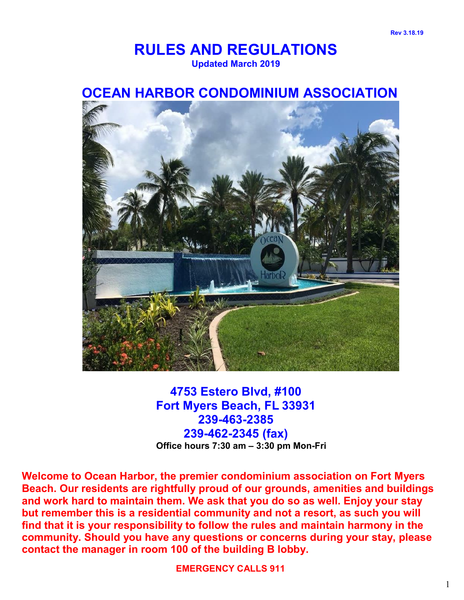# **RULES AND REGULATIONS Updated March 2019**

# **OCEAN HARBOR CONDOMINIUM ASSOCIATION**



# **4753 Estero Blvd, #100 Fort Myers Beach, FL 33931 239-463-2385 239-462-2345 (fax) Office hours 7:30 am – 3:30 pm Mon-Fri**

**Welcome to Ocean Harbor, the premier condominium association on Fort Myers Beach. Our residents are rightfully proud of our grounds, amenities and buildings and work hard to maintain them. We ask that you do so as well. Enjoy your stay but remember this is a residential community and not a resort, as such you will find that it is your responsibility to follow the rules and maintain harmony in the community. Should you have any questions or concerns during your stay, please contact the manager in room 100 of the building B lobby.**

**EMERGENCY CALLS 911**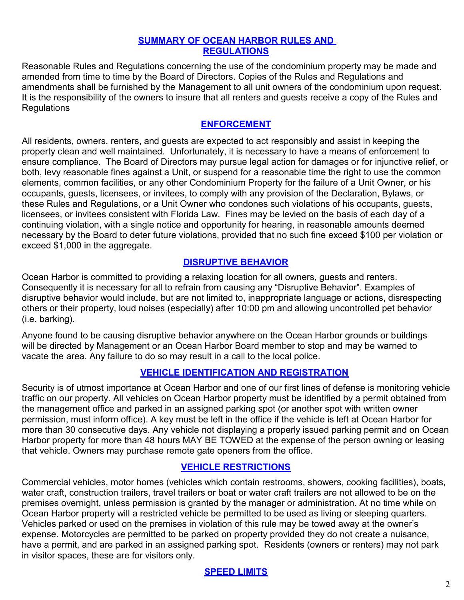#### **SUMMARY OF OCEAN HARBOR RULES AND REGULATIONS**

Reasonable Rules and Regulations concerning the use of the condominium property may be made and amended from time to time by the Board of Directors. Copies of the Rules and Regulations and amendments shall be furnished by the Management to all unit owners of the condominium upon request. It is the responsibility of the owners to insure that all renters and guests receive a copy of the Rules and **Regulations** 

#### **ENFORCEMENT**

All residents, owners, renters, and guests are expected to act responsibly and assist in keeping the property clean and well maintained. Unfortunately, it is necessary to have a means of enforcement to ensure compliance. The Board of Directors may pursue legal action for damages or for injunctive relief, or both, levy reasonable fines against a Unit, or suspend for a reasonable time the right to use the common elements, common facilities, or any other Condominium Property for the failure of a Unit Owner, or his occupants, guests, licensees, or invitees, to comply with any provision of the Declaration, Bylaws, or these Rules and Regulations, or a Unit Owner who condones such violations of his occupants, guests, licensees, or invitees consistent with Florida Law. Fines may be levied on the basis of each day of a continuing violation, with a single notice and opportunity for hearing, in reasonable amounts deemed necessary by the Board to deter future violations, provided that no such fine exceed \$100 per violation or exceed \$1,000 in the aggregate.

#### **DISRUPTIVE BEHAVIOR**

Ocean Harbor is committed to providing a relaxing location for all owners, guests and renters. Consequently it is necessary for all to refrain from causing any "Disruptive Behavior". Examples of disruptive behavior would include, but are not limited to, inappropriate language or actions, disrespecting others or their property, loud noises (especially) after 10:00 pm and allowing uncontrolled pet behavior (i.e. barking).

Anyone found to be causing disruptive behavior anywhere on the Ocean Harbor grounds or buildings will be directed by Management or an Ocean Harbor Board member to stop and may be warned to vacate the area. Any failure to do so may result in a call to the local police.

#### **VEHICLE IDENTIFICATION AND REGISTRATION**

Security is of utmost importance at Ocean Harbor and one of our first lines of defense is monitoring vehicle traffic on our property. All vehicles on Ocean Harbor property must be identified by a permit obtained from the management office and parked in an assigned parking spot (or another spot with written owner permission, must inform office). A key must be left in the office if the vehicle is left at Ocean Harbor for more than 30 consecutive days. Any vehicle not displaying a properly issued parking permit and on Ocean Harbor property for more than 48 hours MAY BE TOWED at the expense of the person owning or leasing that vehicle. Owners may purchase remote gate openers from the office.

#### **VEHICLE RESTRICTIONS**

Commercial vehicles, motor homes (vehicles which contain restrooms, showers, cooking facilities), boats, water craft, construction trailers, travel trailers or boat or water craft trailers are not allowed to be on the premises overnight, unless permission is granted by the manager or administration. At no time while on Ocean Harbor property will a restricted vehicle be permitted to be used as living or sleeping quarters. Vehicles parked or used on the premises in violation of this rule may be towed away at the owner's expense. Motorcycles are permitted to be parked on property provided they do not create a nuisance, have a permit, and are parked in an assigned parking spot. Residents (owners or renters) may not park in visitor spaces, these are for visitors only.

#### **SPEED LIMITS**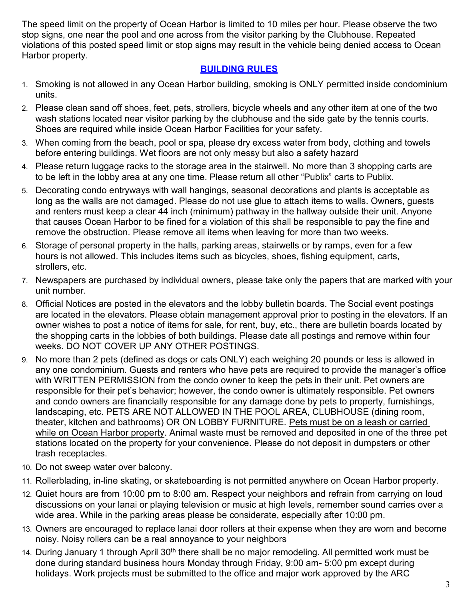The speed limit on the property of Ocean Harbor is limited to 10 miles per hour. Please observe the two stop signs, one near the pool and one across from the visitor parking by the Clubhouse. Repeated violations of this posted speed limit or stop signs may result in the vehicle being denied access to Ocean Harbor property.

#### **BUILDING RULES**

- 1. Smoking is not allowed in any Ocean Harbor building, smoking is ONLY permitted inside condominium units.
- 2. Please clean sand off shoes, feet, pets, strollers, bicycle wheels and any other item at one of the two wash stations located near visitor parking by the clubhouse and the side gate by the tennis courts. Shoes are required while inside Ocean Harbor Facilities for your safety.
- 3. When coming from the beach, pool or spa, please dry excess water from body, clothing and towels before entering buildings. Wet floors are not only messy but also a safety hazard
- 4. Please return luggage racks to the storage area in the stairwell. No more than 3 shopping carts are to be left in the lobby area at any one time. Please return all other "Publix" carts to Publix.
- 5. Decorating condo entryways with wall hangings, seasonal decorations and plants is acceptable as long as the walls are not damaged. Please do not use glue to attach items to walls. Owners, guests and renters must keep a clear 44 inch (minimum) pathway in the hallway outside their unit. Anyone that causes Ocean Harbor to be fined for a violation of this shall be responsible to pay the fine and remove the obstruction. Please remove all items when leaving for more than two weeks.
- 6. Storage of personal property in the halls, parking areas, stairwells or by ramps, even for a few hours is not allowed. This includes items such as bicycles, shoes, fishing equipment, carts, strollers, etc.
- 7. Newspapers are purchased by individual owners, please take only the papers that are marked with your unit number.
- 8. Official Notices are posted in the elevators and the lobby bulletin boards. The Social event postings are located in the elevators. Please obtain management approval prior to posting in the elevators. If an owner wishes to post a notice of items for sale, for rent, buy, etc., there are bulletin boards located by the shopping carts in the lobbies of both buildings. Please date all postings and remove within four weeks. DO NOT COVER UP ANY OTHER POSTINGS.
- 9. No more than 2 pets (defined as dogs or cats ONLY) each weighing 20 pounds or less is allowed in any one condominium. Guests and renters who have pets are required to provide the manager's office with WRITTEN PERMISSION from the condo owner to keep the pets in their unit. Pet owners are responsible for their pet's behavior; however, the condo owner is ultimately responsible. Pet owners and condo owners are financially responsible for any damage done by pets to property, furnishings, landscaping, etc. PETS ARE NOT ALLOWED IN THE POOL AREA, CLUBHOUSE (dining room, theater, kitchen and bathrooms) OR ON LOBBY FURNITURE. Pets must be on a leash or carried while on Ocean Harbor property. Animal waste must be removed and deposited in one of the three pet stations located on the property for your convenience. Please do not deposit in dumpsters or other trash receptacles.
- 10. Do not sweep water over balcony.
- 11. Rollerblading, in-line skating, or skateboarding is not permitted anywhere on Ocean Harbor property.
- 12. Quiet hours are from 10:00 pm to 8:00 am. Respect your neighbors and refrain from carrying on loud discussions on your lanai or playing television or music at high levels, remember sound carries over a wide area. While in the parking areas please be considerate, especially after 10:00 pm.
- 13. Owners are encouraged to replace lanai door rollers at their expense when they are worn and become noisy. Noisy rollers can be a real annoyance to your neighbors
- 14. During January 1 through April 30<sup>th</sup> there shall be no major remodeling. All permitted work must be done during standard business hours Monday through Friday, 9:00 am- 5:00 pm except during holidays. Work projects must be submitted to the office and major work approved by the ARC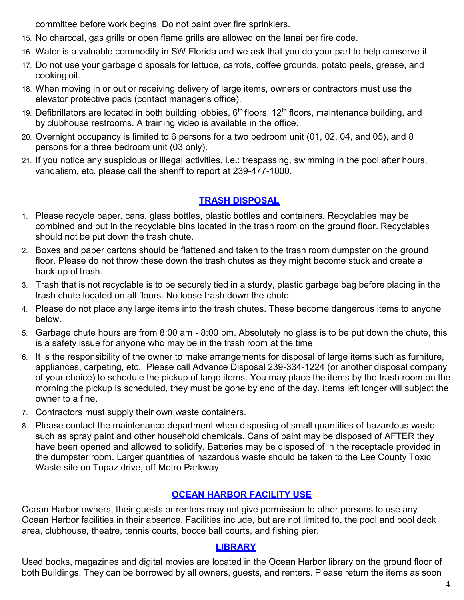committee before work begins. Do not paint over fire sprinklers.

- 15. No charcoal, gas grills or open flame grills are allowed on the lanai per fire code.
- 16. Water is a valuable commodity in SW Florida and we ask that you do your part to help conserve it
- 17. Do not use your garbage disposals for lettuce, carrots, coffee grounds, potato peels, grease, and cooking oil.
- 18. When moving in or out or receiving delivery of large items, owners or contractors must use the elevator protective pads (contact manager's office).
- 19. Defibrillators are located in both building lobbies, 6<sup>th</sup> floors, 12<sup>th</sup> floors, maintenance building, and by clubhouse restrooms. A training video is available in the office.
- 20. Overnight occupancy is limited to 6 persons for a two bedroom unit (01, 02, 04, and 05), and 8 persons for a three bedroom unit (03 only).
- 21. If you notice any suspicious or illegal activities, i.e.: trespassing, swimming in the pool after hours, vandalism, etc. please call the sheriff to report at 239-477-1000.

# **TRASH DISPOSAL**

- 1. Please recycle paper, cans, glass bottles, plastic bottles and containers. Recyclables may be combined and put in the recyclable bins located in the trash room on the ground floor. Recyclables should not be put down the trash chute.
- 2. Boxes and paper cartons should be flattened and taken to the trash room dumpster on the ground floor. Please do not throw these down the trash chutes as they might become stuck and create a back-up of trash.
- 3. Trash that is not recyclable is to be securely tied in a sturdy, plastic garbage bag before placing in the trash chute located on all floors. No loose trash down the chute.
- 4. Please do not place any large items into the trash chutes. These become dangerous items to anyone below.
- 5. Garbage chute hours are from 8:00 am 8:00 pm. Absolutely no glass is to be put down the chute, this is a safety issue for anyone who may be in the trash room at the time
- 6. It is the responsibility of the owner to make arrangements for disposal of large items such as furniture, appliances, carpeting, etc. Please call Advance Disposal 239-334-1224 (or another disposal company of your choice) to schedule the pickup of large items. You may place the items by the trash room on the morning the pickup is scheduled, they must be gone by end of the day. Items left longer will subject the owner to a fine.
- 7. Contractors must supply their own waste containers.
- 8. Please contact the maintenance department when disposing of small quantities of hazardous waste such as spray paint and other household chemicals. Cans of paint may be disposed of AFTER they have been opened and allowed to solidify. Batteries may be disposed of in the receptacle provided in the dumpster room. Larger quantities of hazardous waste should be taken to the Lee County Toxic Waste site on Topaz drive, off Metro Parkway

# **OCEAN HARBOR FACILITY USE**

Ocean Harbor owners, their guests or renters may not give permission to other persons to use any Ocean Harbor facilities in their absence. Facilities include, but are not limited to, the pool and pool deck area, clubhouse, theatre, tennis courts, bocce ball courts, and fishing pier.

#### **LIBRARY**

Used books, magazines and digital movies are located in the Ocean Harbor library on the ground floor of both Buildings. They can be borrowed by all owners, guests, and renters. Please return the items as soon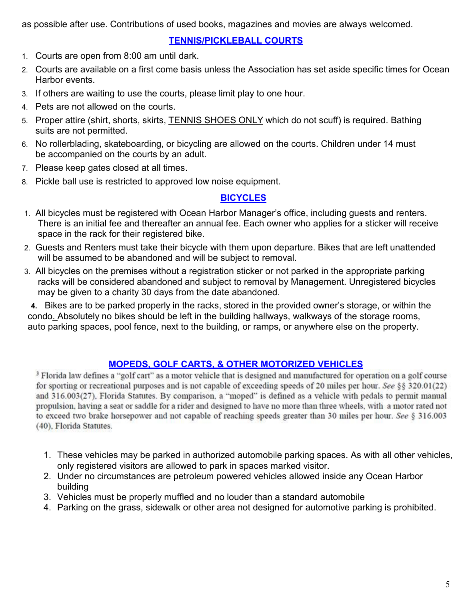as possible after use. Contributions of used books, magazines and movies are always welcomed.

### **TENNIS/PICKLEBALL COURTS**

- 1. Courts are open from 8:00 am until dark.
- 2. Courts are available on a first come basis unless the Association has set aside specific times for Ocean Harbor events.
- 3. If others are waiting to use the courts, please limit play to one hour.
- 4. Pets are not allowed on the courts.
- 5. Proper attire (shirt, shorts, skirts, TENNIS SHOES ONLY which do not scuff) is required. Bathing suits are not permitted.
- 6. No rollerblading, skateboarding, or bicycling are allowed on the courts. Children under 14 must be accompanied on the courts by an adult.
- 7. Please keep gates closed at all times.
- 8. Pickle ball use is restricted to approved low noise equipment.

#### **BICYCLES**

- 1. All bicycles must be registered with Ocean Harbor Manager's office, including guests and renters. There is an initial fee and thereafter an annual fee. Each owner who applies for a sticker will receive space in the rack for their registered bike.
- 2. Guests and Renters must take their bicycle with them upon departure. Bikes that are left unattended will be assumed to be abandoned and will be subject to removal.
- 3. All bicycles on the premises without a registration sticker or not parked in the appropriate parking racks will be considered abandoned and subject to removal by Management. Unregistered bicycles may be given to a charity 30 days from the date abandoned.

**4.** Bikes are to be parked properly in the racks, stored in the provided owner's storage, or within the condo. Absolutely no bikes should be left in the building hallways, walkways of the storage rooms, auto parking spaces, pool fence, next to the building, or ramps, or anywhere else on the property.

# **MOPEDS, GOLF CARTS, & OTHER MOTORIZED VEHICLES**

<sup>3</sup> Florida law defines a "golf cart" as a motor vehicle that is designed and manufactured for operation on a golf course for sporting or recreational purposes and is not capable of exceeding speeds of 20 miles per hour. See §§ 320.01(22) and 316.003(27). Florida Statutes. By comparison, a "moped" is defined as a vehicle with pedals to permit manual propulsion, having a seat or saddle for a rider and designed to have no more than three wheels, with a motor rated not to exceed two brake horsepower and not capable of reaching speeds greater than 30 miles per hour. See § 316.003 (40), Florida Statutes.

- 1. These vehicles may be parked in authorized automobile parking spaces. As with all other vehicles, only registered visitors are allowed to park in spaces marked visitor.
- 2. Under no circumstances are petroleum powered vehicles allowed inside any Ocean Harbor building
- 3. Vehicles must be properly muffled and no louder than a standard automobile
- 4. Parking on the grass, sidewalk or other area not designed for automotive parking is prohibited.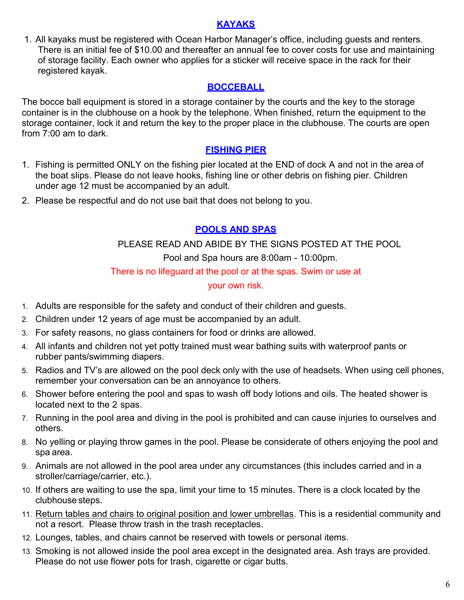#### **KAYAKS**

1. All kayaks must be registered with Ocean Harbor Manager's office, including guests and renters. There is an initial fee of \$10.00 and thereafter an annual fee to cover costs for use and maintaining of storage facility. Each owner who applies for a sticker will receive space in the rack for their registered kayak.

### **BOCCEBALL**

The bocce ball equipment is stored in a storage container by the courts and the key to the storage container is in the clubhouse on a hook by the telephone. When finished, return the equipment to the storage container, lock it and return the key to the proper place in the clubhouse. The courts are open from 7:00 am to dark.

### **FISHING PIER**

- 1. Fishing is permitted ONLY on the fishing pier located at the END of dock A and not in the area of the boat slips. Please do not leave hooks, fishing line or other debris on fishing pier. Children under age 12 must be accompanied by an adult.
- 2. Please be respectful and do not use bait that does not belong to you.

# **POOLS AND SPAS**

PLEASE READ AND ABIDE BY THE SIGNS POSTED AT THE POOL Pool and Spa hours are 8:00am - 10:00pm.

#### There is no lifeguard at the pool or at the spas. Swim or use at

#### your own risk.

- 1. Adults are responsible for the safety and conduct of their children and guests.
- 2. Children under 12 years of age must be accompanied by an adult.
- 3. For safety reasons, no glass containers for food or drinks are allowed.
- 4. All infants and children not yet potty trained must wear bathing suits with waterproof pants or rubber pants/swimming diapers.
- 5. Radios and TV's are allowed on the pool deck only with the use of headsets. When using cell phones, remember your conversation can be an annoyance to others.
- 6. Shower before entering the pool and spas to wash off body lotions and oils. The heated shower is located next to the 2 spas.
- 7. Running in the pool area and diving in the pool is prohibited and can cause injuries to ourselves and others.
- 8. No yelling or playing throw games in the pool. Please be considerate of others enjoying the pool and spa area.
- 9. Animals are not allowed in the pool area under any circumstances (this includes carried and in a stroller/carriage/carrier, etc.).
- 10. If others are waiting to use the spa, limit your time to 15 minutes. There is a clock located by the clubhouse steps.
- 11. Return tables and chairs to original position and lower umbrellas. This is a residential community and not a resort. Please throw trash in the trash receptacles.
- 12. Lounges, tables, and chairs cannot be reserved with towels or personal items.
- 13. Smoking is not allowed inside the pool area except in the designated area. Ash trays are provided. Please do not use flower pots for trash, cigarette or cigar butts.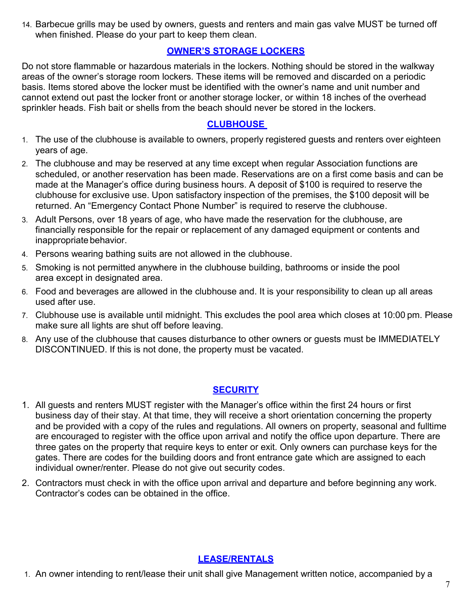14. Barbecue grills may be used by owners, guests and renters and main gas valve MUST be turned off when finished. Please do your part to keep them clean.

### **OWNER'S STORAGE LOCKERS**

Do not store flammable or hazardous materials in the lockers. Nothing should be stored in the walkway areas of the owner's storage room lockers. These items will be removed and discarded on a periodic basis. Items stored above the locker must be identified with the owner's name and unit number and cannot extend out past the locker front or another storage locker, or within 18 inches of the overhead sprinkler heads. Fish bait or shells from the beach should never be stored in the lockers.

### **CLUBHOUSE**

- 1. The use of the clubhouse is available to owners, properly registered guests and renters over eighteen years of age.
- 2. The clubhouse and may be reserved at any time except when regular Association functions are scheduled, or another reservation has been made. Reservations are on a first come basis and can be made at the Manager's office during business hours. A deposit of \$100 is required to reserve the clubhouse for exclusive use. Upon satisfactory inspection of the premises, the \$100 deposit will be returned. An "Emergency Contact Phone Number" is required to reserve the clubhouse.
- 3. Adult Persons, over 18 years of age, who have made the reservation for the clubhouse, are financially responsible for the repair or replacement of any damaged equipment or contents and inappropriate behavior.
- 4. Persons wearing bathing suits are not allowed in the clubhouse.
- 5. Smoking is not permitted anywhere in the clubhouse building, bathrooms or inside the pool area except in designated area.
- 6. Food and beverages are allowed in the clubhouse and. It is your responsibility to clean up all areas used after use.
- 7. Clubhouse use is available until midnight. This excludes the pool area which closes at 10:00 pm. Please make sure all lights are shut off before leaving.
- 8. Any use of the clubhouse that causes disturbance to other owners or guests must be IMMEDIATELY DISCONTINUED. If this is not done, the property must be vacated.

# **SECURITY**

- 1. All guests and renters MUST register with the Manager's office within the first 24 hours or first business day of their stay. At that time, they will receive a short orientation concerning the property and be provided with a copy of the rules and regulations. All owners on property, seasonal and fulltime are encouraged to register with the office upon arrival and notify the office upon departure. There are three gates on the property that require keys to enter or exit. Only owners can purchase keys for the gates. There are codes for the building doors and front entrance gate which are assigned to each individual owner/renter. Please do not give out security codes.
- 2. Contractors must check in with the office upon arrival and departure and before beginning any work. Contractor's codes can be obtained in the office.

# **LEASE/RENTALS**

1. An owner intending to rent/lease their unit shall give Management written notice, accompanied by a